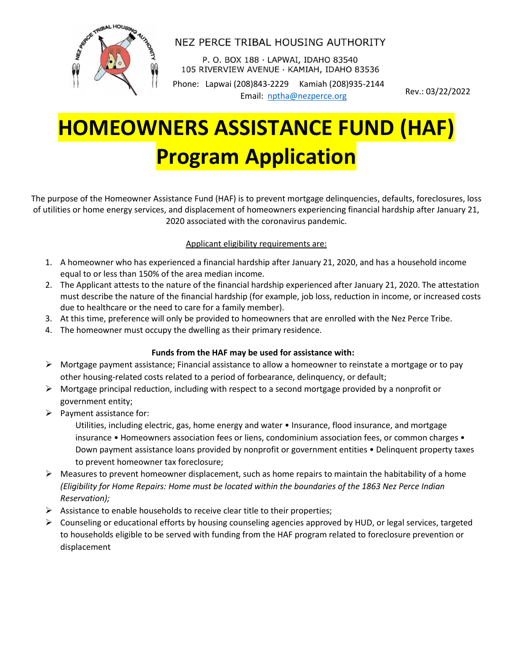

## NEZ PERCE TRIBAL HOUSING AUTHORITY

P. O. BOX 188 · LAPWAI, IDAHO 83540 105 RIVERVIEW AVENUE · KAMIAH, IDAHO 83536

Phone: Lapwai (208)843-2229 Kamiah (208)935-2144 Email: [nptha@nezperce.org](mailto:nptha@nezperce.org) Rev.: 03/22/2022

# **HOMEOWNERS ASSISTANCE FUND (HAF) Program Application**

The purpose of the Homeowner Assistance Fund (HAF) is to prevent mortgage delinquencies, defaults, foreclosures, loss of utilities or home energy services, and displacement of homeowners experiencing financial hardship after January 21, 2020 associated with the coronavirus pandemic.

#### Applicant eligibility requirements are:

- 1. A homeowner who has experienced a financial hardship after January 21, 2020, and has a household income equal to or less than 150% of the area median income.
- 2. The Applicant attests to the nature of the financial hardship experienced after January 21, 2020. The attestation must describe the nature of the financial hardship (for example, job loss, reduction in income, or increased costs due to healthcare or the need to care for a family member).
- 3. At this time, preference will only be provided to homeowners that are enrolled with the Nez Perce Tribe.
- 4. The homeowner must occupy the dwelling as their primary residence.

#### **Funds from the HAF may be used for assistance with:**

- ➢ Mortgage payment assistance; Financial assistance to allow a homeowner to reinstate a mortgage or to pay other housing-related costs related to a period of forbearance, delinquency, or default;
- $\triangleright$  Mortgage principal reduction, including with respect to a second mortgage provided by a nonprofit or government entity;
- $\triangleright$  Payment assistance for:

Utilities, including electric, gas, home energy and water • Insurance, flood insurance, and mortgage insurance • Homeowners association fees or liens, condominium association fees, or common charges • Down payment assistance loans provided by nonprofit or government entities • Delinquent property taxes to prevent homeowner tax foreclosure;

- $\triangleright$  Measures to prevent homeowner displacement, such as home repairs to maintain the habitability of a home *(Eligibility for Home Repairs: Home must be located within the boundaries of the 1863 Nez Perce Indian Reservation);*
- $\triangleright$  Assistance to enable households to receive clear title to their properties;
- $\triangleright$  Counseling or educational efforts by housing counseling agencies approved by HUD, or legal services, targeted to households eligible to be served with funding from the HAF program related to foreclosure prevention or displacement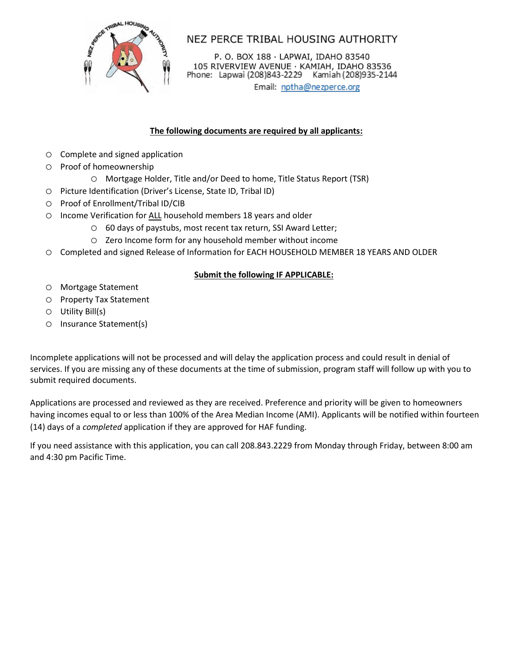

NEZ PERCE TRIBAL HOUSING AUTHORITY

P. O. BOX 188 · LAPWAI, IDAHO 83540 105 RIVERVIEW AVENUE · KAMIAH, IDAHO 83536<br>Phone: Lapwai (208)843-2229 Kamiah (208)935-2144

Email: nptha@nezperce.org

#### **The following documents are required by all applicants:**

- o Complete and signed application
- o Proof of homeownership
	- o Mortgage Holder, Title and/or Deed to home, Title Status Report (TSR)
- o Picture Identification (Driver's License, State ID, Tribal ID)
- o Proof of Enrollment/Tribal ID/CIB
- o Income Verification for ALL household members 18 years and older
	- o 60 days of paystubs, most recent tax return, SSI Award Letter;
	- o Zero Income form for any household member without income
- o Completed and signed Release of Information for EACH HOUSEHOLD MEMBER 18 YEARS AND OLDER

#### **Submit the following IF APPLICABLE:**

- o Mortgage Statement
- o Property Tax Statement
- o Utility Bill(s)
- o Insurance Statement(s)

Incomplete applications will not be processed and will delay the application process and could result in denial of services. If you are missing any of these documents at the time of submission, program staff will follow up with you to submit required documents.

Applications are processed and reviewed as they are received. Preference and priority will be given to homeowners having incomes equal to or less than 100% of the Area Median Income (AMI). Applicants will be notified within fourteen (14) days of a *completed* application if they are approved for HAF funding.

If you need assistance with this application, you can call 208.843.2229 from Monday through Friday, between 8:00 am and 4:30 pm Pacific Time.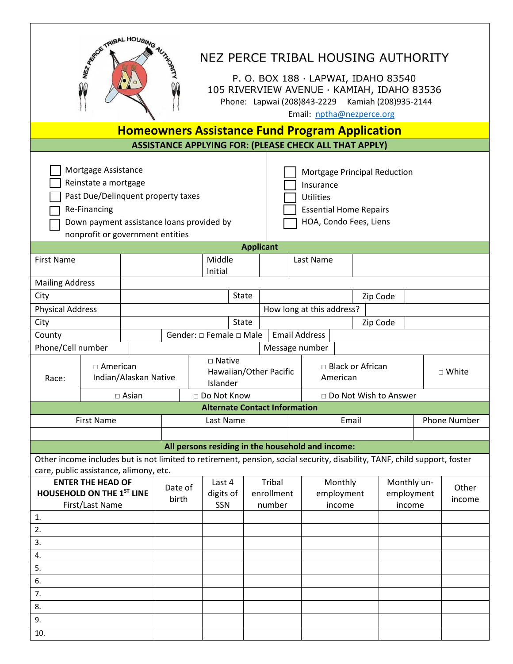| ASSECTATION HOUSING<br>AUTHORNE<br>NEZ PERCE TRIBAL HOUSING AUTHORITY<br>P. O. BOX 188 · LAPWAI, IDAHO 83540<br>Qû<br>105 RIVERVIEW AVENUE · KAMIAH, IDAHO 83536<br>Phone: Lapwai (208)843-2229 Kamiah (208)935-2144<br>Email: nptha@nezperce.org                                                                     |                                                       |                       |  |                            |                                                                                                                |                                |                                      |                                 |                                                                                                                           |                                     |  |                 |                     |
|-----------------------------------------------------------------------------------------------------------------------------------------------------------------------------------------------------------------------------------------------------------------------------------------------------------------------|-------------------------------------------------------|-----------------------|--|----------------------------|----------------------------------------------------------------------------------------------------------------|--------------------------------|--------------------------------------|---------------------------------|---------------------------------------------------------------------------------------------------------------------------|-------------------------------------|--|-----------------|---------------------|
|                                                                                                                                                                                                                                                                                                                       | <b>Homeowners Assistance Fund Program Application</b> |                       |  |                            |                                                                                                                |                                |                                      |                                 |                                                                                                                           |                                     |  |                 |                     |
| <b>ASSISTANCE APPLYING FOR: (PLEASE CHECK ALL THAT APPLY)</b>                                                                                                                                                                                                                                                         |                                                       |                       |  |                            |                                                                                                                |                                |                                      |                                 |                                                                                                                           |                                     |  |                 |                     |
| Mortgage Assistance<br>Mortgage Principal Reduction<br>Reinstate a mortgage<br>Insurance<br>Past Due/Delinquent property taxes<br><b>Utilities</b><br><b>Re-Financing</b><br><b>Essential Home Repairs</b><br>HOA, Condo Fees, Liens<br>Down payment assistance loans provided by<br>nonprofit or government entities |                                                       |                       |  |                            |                                                                                                                |                                |                                      |                                 |                                                                                                                           |                                     |  |                 |                     |
|                                                                                                                                                                                                                                                                                                                       |                                                       |                       |  |                            |                                                                                                                |                                | <b>Applicant</b>                     |                                 |                                                                                                                           |                                     |  |                 |                     |
| <b>First Name</b>                                                                                                                                                                                                                                                                                                     |                                                       |                       |  |                            | Middle<br>Initial                                                                                              |                                |                                      |                                 | Last Name                                                                                                                 |                                     |  |                 |                     |
| <b>Mailing Address</b>                                                                                                                                                                                                                                                                                                |                                                       |                       |  |                            |                                                                                                                |                                |                                      |                                 |                                                                                                                           |                                     |  |                 |                     |
| City                                                                                                                                                                                                                                                                                                                  |                                                       |                       |  |                            |                                                                                                                | <b>State</b>                   |                                      |                                 |                                                                                                                           | Zip Code                            |  |                 |                     |
| <b>Physical Address</b>                                                                                                                                                                                                                                                                                               |                                                       |                       |  |                            |                                                                                                                |                                |                                      |                                 | How long at this address?                                                                                                 |                                     |  |                 |                     |
| City                                                                                                                                                                                                                                                                                                                  |                                                       |                       |  |                            |                                                                                                                | <b>State</b>                   |                                      |                                 |                                                                                                                           | Zip Code                            |  |                 |                     |
| County                                                                                                                                                                                                                                                                                                                |                                                       |                       |  |                            |                                                                                                                | Gender: □ Female □ Male        |                                      |                                 | <b>Email Address</b>                                                                                                      |                                     |  |                 |                     |
| Phone/Cell number                                                                                                                                                                                                                                                                                                     |                                                       |                       |  |                            |                                                                                                                |                                |                                      |                                 | Message number                                                                                                            |                                     |  |                 |                     |
| Race:                                                                                                                                                                                                                                                                                                                 | $\Box$ American                                       | Indian/Alaskan Native |  |                            | $\square$ Native<br>$\Box$ Black or African<br>Hawaiian/Other Pacific<br>American<br>Islander<br>□ Do Not Know |                                |                                      |                                 | □ White<br>□ Do Not Wish to Answer                                                                                        |                                     |  |                 |                     |
|                                                                                                                                                                                                                                                                                                                       |                                                       | $\square$ Asian       |  |                            |                                                                                                                |                                | <b>Alternate Contact Information</b> |                                 |                                                                                                                           |                                     |  |                 |                     |
|                                                                                                                                                                                                                                                                                                                       | <b>First Name</b>                                     |                       |  |                            | Last Name                                                                                                      |                                |                                      |                                 | Email                                                                                                                     |                                     |  |                 | <b>Phone Number</b> |
|                                                                                                                                                                                                                                                                                                                       |                                                       |                       |  |                            |                                                                                                                |                                |                                      |                                 |                                                                                                                           |                                     |  |                 |                     |
|                                                                                                                                                                                                                                                                                                                       |                                                       |                       |  |                            |                                                                                                                |                                |                                      |                                 | All persons residing in the household and income:                                                                         |                                     |  |                 |                     |
| care, public assistance, alimony, etc.                                                                                                                                                                                                                                                                                |                                                       |                       |  |                            |                                                                                                                |                                |                                      |                                 | Other income includes but is not limited to retirement, pension, social security, disability, TANF, child support, foster |                                     |  |                 |                     |
| <b>ENTER THE HEAD OF</b><br>HOUSEHOLD ON THE 1ST LINE<br>First/Last Name                                                                                                                                                                                                                                              |                                                       | Date of<br>birth      |  | Last 4<br>digits of<br>SSN |                                                                                                                | Tribal<br>enrollment<br>number |                                      | Monthly<br>employment<br>income |                                                                                                                           | Monthly un-<br>employment<br>income |  | Other<br>income |                     |
| 1.                                                                                                                                                                                                                                                                                                                    |                                                       |                       |  |                            |                                                                                                                |                                |                                      |                                 |                                                                                                                           |                                     |  |                 |                     |
| 2.                                                                                                                                                                                                                                                                                                                    |                                                       |                       |  |                            |                                                                                                                |                                |                                      |                                 |                                                                                                                           |                                     |  |                 |                     |
| 3.                                                                                                                                                                                                                                                                                                                    |                                                       |                       |  |                            |                                                                                                                |                                |                                      |                                 |                                                                                                                           |                                     |  |                 |                     |
| 4.<br>5.                                                                                                                                                                                                                                                                                                              |                                                       |                       |  |                            |                                                                                                                |                                |                                      |                                 |                                                                                                                           |                                     |  |                 |                     |
| 6.                                                                                                                                                                                                                                                                                                                    |                                                       |                       |  |                            |                                                                                                                |                                |                                      |                                 |                                                                                                                           |                                     |  |                 |                     |
| 7.                                                                                                                                                                                                                                                                                                                    |                                                       |                       |  |                            |                                                                                                                |                                |                                      |                                 |                                                                                                                           |                                     |  |                 |                     |
| 8.                                                                                                                                                                                                                                                                                                                    |                                                       |                       |  |                            |                                                                                                                |                                |                                      |                                 |                                                                                                                           |                                     |  |                 |                     |
| 9.                                                                                                                                                                                                                                                                                                                    |                                                       |                       |  |                            |                                                                                                                |                                |                                      |                                 |                                                                                                                           |                                     |  |                 |                     |
| 10.                                                                                                                                                                                                                                                                                                                   |                                                       |                       |  |                            |                                                                                                                |                                |                                      |                                 |                                                                                                                           |                                     |  |                 |                     |

 $\overline{\phantom{a}}$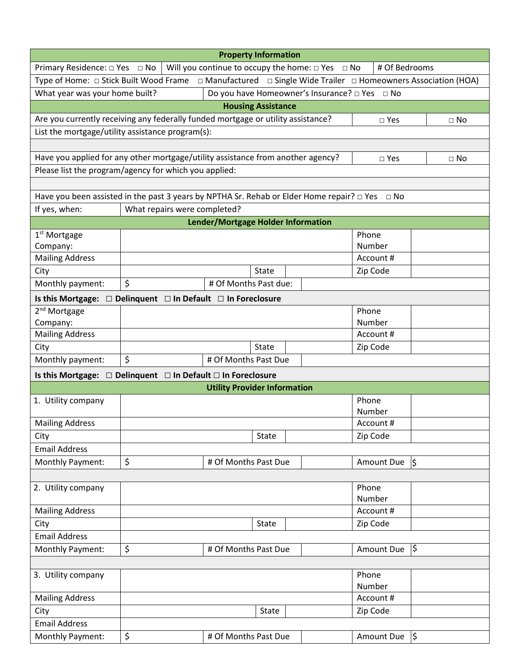|                                                                                                                                | <b>Property Information</b>                                                                              |                                     |              |                                                            |               |               |  |  |  |  |  |
|--------------------------------------------------------------------------------------------------------------------------------|----------------------------------------------------------------------------------------------------------|-------------------------------------|--------------|------------------------------------------------------------|---------------|---------------|--|--|--|--|--|
| Primary Residence: $\square$ Yes $\square$ No                                                                                  |                                                                                                          |                                     |              | Will you continue to occupy the home: $\Box$ Yes $\Box$ No | # Of Bedrooms |               |  |  |  |  |  |
| Type of Home: $\Box$ Stick Built Wood Frame $\Box$ Manufactured $\Box$ Single Wide Trailer $\Box$ Homeowners Association (HOA) |                                                                                                          |                                     |              |                                                            |               |               |  |  |  |  |  |
| What year was your home built?                                                                                                 |                                                                                                          |                                     |              | Do you have Homeowner's Insurance? □ Yes □ No              |               |               |  |  |  |  |  |
| <b>Housing Assistance</b>                                                                                                      |                                                                                                          |                                     |              |                                                            |               |               |  |  |  |  |  |
| Are you currently receiving any federally funded mortgage or utility assistance?                                               |                                                                                                          |                                     |              |                                                            | $\square$ Yes | $\Box$ No     |  |  |  |  |  |
| List the mortgage/utility assistance program(s):                                                                               |                                                                                                          |                                     |              |                                                            |               |               |  |  |  |  |  |
|                                                                                                                                |                                                                                                          |                                     |              |                                                            |               |               |  |  |  |  |  |
| Have you applied for any other mortgage/utility assistance from another agency?<br>$\square$ Yes<br>$\Box$ No                  |                                                                                                          |                                     |              |                                                            |               |               |  |  |  |  |  |
| Please list the program/agency for which you applied:                                                                          |                                                                                                          |                                     |              |                                                            |               |               |  |  |  |  |  |
|                                                                                                                                |                                                                                                          |                                     |              |                                                            |               |               |  |  |  |  |  |
|                                                                                                                                | Have you been assisted in the past 3 years by NPTHA Sr. Rehab or Elder Home repair? $\Box$ Yes $\Box$ No |                                     |              |                                                            |               |               |  |  |  |  |  |
| If yes, when:                                                                                                                  | What repairs were completed?                                                                             |                                     |              |                                                            |               |               |  |  |  |  |  |
|                                                                                                                                |                                                                                                          | Lender/Mortgage Holder Information  |              |                                                            |               |               |  |  |  |  |  |
| 1 <sup>st</sup> Mortgage                                                                                                       |                                                                                                          |                                     |              |                                                            | Phone         |               |  |  |  |  |  |
| Company:                                                                                                                       |                                                                                                          |                                     |              |                                                            | Number        |               |  |  |  |  |  |
| <b>Mailing Address</b>                                                                                                         |                                                                                                          |                                     |              |                                                            | Account #     |               |  |  |  |  |  |
| City                                                                                                                           |                                                                                                          |                                     | State        |                                                            | Zip Code      |               |  |  |  |  |  |
| Monthly payment:                                                                                                               | \$                                                                                                       | # Of Months Past due:               |              |                                                            |               |               |  |  |  |  |  |
| Is this Mortgage: □ Delinquent □ In Default □ In Foreclosure                                                                   |                                                                                                          |                                     |              |                                                            |               |               |  |  |  |  |  |
| 2 <sup>nd</sup> Mortgage                                                                                                       |                                                                                                          |                                     |              |                                                            | Phone         |               |  |  |  |  |  |
| Company:                                                                                                                       |                                                                                                          |                                     |              |                                                            | Number        |               |  |  |  |  |  |
| <b>Mailing Address</b>                                                                                                         |                                                                                                          |                                     |              |                                                            | Account #     |               |  |  |  |  |  |
| City                                                                                                                           |                                                                                                          |                                     | State        |                                                            | Zip Code      |               |  |  |  |  |  |
| Monthly payment:                                                                                                               | \$                                                                                                       | # Of Months Past Due                |              |                                                            |               |               |  |  |  |  |  |
| Is this Mortgage: □ Delinquent □ In Default □ In Foreclosure                                                                   |                                                                                                          |                                     |              |                                                            |               |               |  |  |  |  |  |
|                                                                                                                                |                                                                                                          | <b>Utility Provider Information</b> |              |                                                            |               |               |  |  |  |  |  |
| 1. Utility company                                                                                                             |                                                                                                          |                                     |              |                                                            | Phone         |               |  |  |  |  |  |
| <b>Mailing Address</b>                                                                                                         |                                                                                                          |                                     |              |                                                            | Number        |               |  |  |  |  |  |
|                                                                                                                                |                                                                                                          |                                     | <b>State</b> |                                                            | Account#      |               |  |  |  |  |  |
| City<br><b>Email Address</b>                                                                                                   |                                                                                                          |                                     |              |                                                            | Zip Code      |               |  |  |  |  |  |
| Monthly Payment:                                                                                                               | \$                                                                                                       | # Of Months Past Due                |              |                                                            | Amount Due    | $\vert$ \$    |  |  |  |  |  |
|                                                                                                                                |                                                                                                          |                                     |              |                                                            |               |               |  |  |  |  |  |
| 2. Utility company                                                                                                             |                                                                                                          |                                     |              |                                                            | Phone         |               |  |  |  |  |  |
|                                                                                                                                |                                                                                                          |                                     |              |                                                            | Number        |               |  |  |  |  |  |
| <b>Mailing Address</b>                                                                                                         |                                                                                                          |                                     |              |                                                            | Account #     |               |  |  |  |  |  |
| City                                                                                                                           |                                                                                                          |                                     | State        |                                                            | Zip Code      |               |  |  |  |  |  |
| <b>Email Address</b>                                                                                                           |                                                                                                          |                                     |              |                                                            |               |               |  |  |  |  |  |
| Monthly Payment:                                                                                                               | \$                                                                                                       | # Of Months Past Due                |              |                                                            | Amount Due    | l\$           |  |  |  |  |  |
|                                                                                                                                |                                                                                                          |                                     |              |                                                            |               |               |  |  |  |  |  |
| 3. Utility company                                                                                                             |                                                                                                          |                                     |              |                                                            | Phone         |               |  |  |  |  |  |
|                                                                                                                                |                                                                                                          |                                     |              |                                                            | Number        |               |  |  |  |  |  |
| <b>Mailing Address</b>                                                                                                         |                                                                                                          |                                     |              |                                                            | Account #     |               |  |  |  |  |  |
| City                                                                                                                           |                                                                                                          |                                     | State        |                                                            | Zip Code      |               |  |  |  |  |  |
| <b>Email Address</b>                                                                                                           |                                                                                                          |                                     |              |                                                            |               |               |  |  |  |  |  |
| Monthly Payment:                                                                                                               | \$                                                                                                       | # Of Months Past Due                |              |                                                            | Amount Due    | $\frac{1}{2}$ |  |  |  |  |  |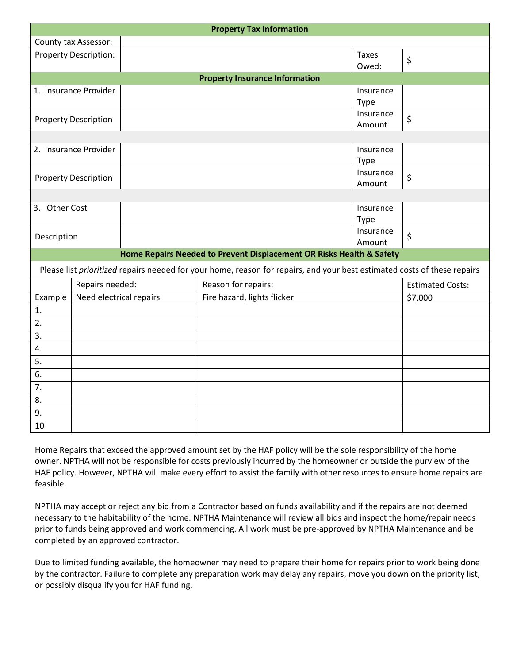|                             | <b>Property Tax Information</b> |  |                                                                      |                     |                          |                                                                                                                          |  |  |  |  |  |
|-----------------------------|---------------------------------|--|----------------------------------------------------------------------|---------------------|--------------------------|--------------------------------------------------------------------------------------------------------------------------|--|--|--|--|--|
|                             | County tax Assessor:            |  |                                                                      |                     |                          |                                                                                                                          |  |  |  |  |  |
|                             | <b>Property Description:</b>    |  |                                                                      |                     | <b>Taxes</b><br>Owed:    | \$                                                                                                                       |  |  |  |  |  |
|                             |                                 |  | <b>Property Insurance Information</b>                                |                     |                          |                                                                                                                          |  |  |  |  |  |
| 1. Insurance Provider       |                                 |  |                                                                      |                     | Insurance<br><b>Type</b> |                                                                                                                          |  |  |  |  |  |
| <b>Property Description</b> |                                 |  |                                                                      |                     | Insurance<br>Amount      | \$                                                                                                                       |  |  |  |  |  |
|                             |                                 |  |                                                                      |                     |                          |                                                                                                                          |  |  |  |  |  |
| 2. Insurance Provider       |                                 |  |                                                                      | Insurance<br>Type   |                          |                                                                                                                          |  |  |  |  |  |
| <b>Property Description</b> |                                 |  |                                                                      | Insurance<br>Amount | $\zeta$                  |                                                                                                                          |  |  |  |  |  |
|                             |                                 |  |                                                                      |                     |                          |                                                                                                                          |  |  |  |  |  |
| 3. Other Cost               |                                 |  |                                                                      |                     | Insurance<br><b>Type</b> |                                                                                                                          |  |  |  |  |  |
| Description                 |                                 |  |                                                                      |                     | Insurance<br>Amount      | $\zeta$                                                                                                                  |  |  |  |  |  |
|                             |                                 |  | Home Repairs Needed to Prevent Displacement OR Risks Health & Safety |                     |                          |                                                                                                                          |  |  |  |  |  |
|                             |                                 |  |                                                                      |                     |                          | Please list prioritized repairs needed for your home, reason for repairs, and your best estimated costs of these repairs |  |  |  |  |  |
|                             | Repairs needed:                 |  |                                                                      | Reason for repairs: |                          |                                                                                                                          |  |  |  |  |  |
| Example                     | Need electrical repairs         |  | Fire hazard, lights flicker                                          | \$7,000             |                          |                                                                                                                          |  |  |  |  |  |
| 1.                          |                                 |  |                                                                      |                     |                          |                                                                                                                          |  |  |  |  |  |
| 2.                          |                                 |  |                                                                      |                     |                          |                                                                                                                          |  |  |  |  |  |
| 3.                          |                                 |  |                                                                      |                     |                          |                                                                                                                          |  |  |  |  |  |
| 4.                          |                                 |  |                                                                      |                     |                          |                                                                                                                          |  |  |  |  |  |
| 5.                          |                                 |  |                                                                      |                     |                          |                                                                                                                          |  |  |  |  |  |
| 6.                          |                                 |  |                                                                      |                     |                          |                                                                                                                          |  |  |  |  |  |
| 7.                          |                                 |  |                                                                      |                     |                          |                                                                                                                          |  |  |  |  |  |
| 8.                          |                                 |  |                                                                      |                     |                          |                                                                                                                          |  |  |  |  |  |
| 9.                          |                                 |  |                                                                      |                     |                          |                                                                                                                          |  |  |  |  |  |
| 10                          |                                 |  |                                                                      |                     |                          |                                                                                                                          |  |  |  |  |  |

Home Repairs that exceed the approved amount set by the HAF policy will be the sole responsibility of the home owner. NPTHA will not be responsible for costs previously incurred by the homeowner or outside the purview of the HAF policy. However, NPTHA will make every effort to assist the family with other resources to ensure home repairs are feasible.

NPTHA may accept or reject any bid from a Contractor based on funds availability and if the repairs are not deemed necessary to the habitability of the home. NPTHA Maintenance will review all bids and inspect the home/repair needs prior to funds being approved and work commencing. All work must be pre-approved by NPTHA Maintenance and be completed by an approved contractor.

Due to limited funding available, the homeowner may need to prepare their home for repairs prior to work being done by the contractor. Failure to complete any preparation work may delay any repairs, move you down on the priority list, or possibly disqualify you for HAF funding.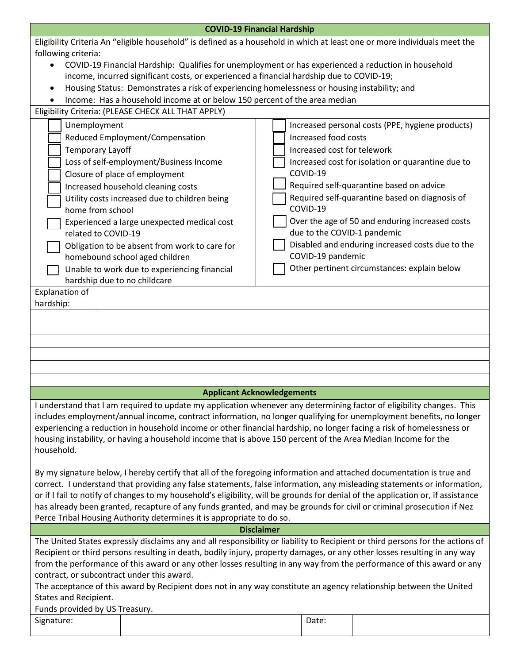|                                                                                                                                                                                                                                                                                                                                                                                                                                                                                                                                                                                                       | <b>COVID-19 Financial Hardship</b>                                                                                        |  |                                                                                |                                                   |  |  |  |  |
|-------------------------------------------------------------------------------------------------------------------------------------------------------------------------------------------------------------------------------------------------------------------------------------------------------------------------------------------------------------------------------------------------------------------------------------------------------------------------------------------------------------------------------------------------------------------------------------------------------|---------------------------------------------------------------------------------------------------------------------------|--|--------------------------------------------------------------------------------|---------------------------------------------------|--|--|--|--|
|                                                                                                                                                                                                                                                                                                                                                                                                                                                                                                                                                                                                       | Eligibility Criteria An "eligible household" is defined as a household in which at least one or more individuals meet the |  |                                                                                |                                                   |  |  |  |  |
| following criteria:                                                                                                                                                                                                                                                                                                                                                                                                                                                                                                                                                                                   |                                                                                                                           |  |                                                                                |                                                   |  |  |  |  |
| COVID-19 Financial Hardship: Qualifies for unemployment or has experienced a reduction in household                                                                                                                                                                                                                                                                                                                                                                                                                                                                                                   |                                                                                                                           |  |                                                                                |                                                   |  |  |  |  |
|                                                                                                                                                                                                                                                                                                                                                                                                                                                                                                                                                                                                       | income, incurred significant costs, or experienced a financial hardship due to COVID-19;                                  |  |                                                                                |                                                   |  |  |  |  |
| $\bullet$                                                                                                                                                                                                                                                                                                                                                                                                                                                                                                                                                                                             | Housing Status: Demonstrates a risk of experiencing homelessness or housing instability; and                              |  |                                                                                |                                                   |  |  |  |  |
|                                                                                                                                                                                                                                                                                                                                                                                                                                                                                                                                                                                                       | Income: Has a household income at or below 150 percent of the area median                                                 |  |                                                                                |                                                   |  |  |  |  |
| Eligibility Criteria: (PLEASE CHECK ALL THAT APPLY)                                                                                                                                                                                                                                                                                                                                                                                                                                                                                                                                                   |                                                                                                                           |  |                                                                                |                                                   |  |  |  |  |
| Unemployment                                                                                                                                                                                                                                                                                                                                                                                                                                                                                                                                                                                          |                                                                                                                           |  |                                                                                | Increased personal costs (PPE, hygiene products)  |  |  |  |  |
| Reduced Employment/Compensation                                                                                                                                                                                                                                                                                                                                                                                                                                                                                                                                                                       |                                                                                                                           |  | Increased food costs                                                           |                                                   |  |  |  |  |
| <b>Temporary Layoff</b>                                                                                                                                                                                                                                                                                                                                                                                                                                                                                                                                                                               |                                                                                                                           |  | Increased cost for telework                                                    |                                                   |  |  |  |  |
|                                                                                                                                                                                                                                                                                                                                                                                                                                                                                                                                                                                                       | Loss of self-employment/Business Income                                                                                   |  |                                                                                | Increased cost for isolation or quarantine due to |  |  |  |  |
| Closure of place of employment                                                                                                                                                                                                                                                                                                                                                                                                                                                                                                                                                                        |                                                                                                                           |  | COVID-19                                                                       |                                                   |  |  |  |  |
| Increased household cleaning costs                                                                                                                                                                                                                                                                                                                                                                                                                                                                                                                                                                    |                                                                                                                           |  |                                                                                | Required self-quarantine based on advice          |  |  |  |  |
| home from school                                                                                                                                                                                                                                                                                                                                                                                                                                                                                                                                                                                      | Utility costs increased due to children being                                                                             |  | COVID-19                                                                       | Required self-quarantine based on diagnosis of    |  |  |  |  |
| related to COVID-19                                                                                                                                                                                                                                                                                                                                                                                                                                                                                                                                                                                   | Experienced a large unexpected medical cost                                                                               |  | Over the age of 50 and enduring increased costs<br>due to the COVID-1 pandemic |                                                   |  |  |  |  |
|                                                                                                                                                                                                                                                                                                                                                                                                                                                                                                                                                                                                       | Obligation to be absent from work to care for                                                                             |  |                                                                                | Disabled and enduring increased costs due to the  |  |  |  |  |
| homebound school aged children                                                                                                                                                                                                                                                                                                                                                                                                                                                                                                                                                                        |                                                                                                                           |  | COVID-19 pandemic                                                              |                                                   |  |  |  |  |
| hardship due to no childcare                                                                                                                                                                                                                                                                                                                                                                                                                                                                                                                                                                          | Unable to work due to experiencing financial                                                                              |  |                                                                                | Other pertinent circumstances: explain below      |  |  |  |  |
| <b>Explanation of</b>                                                                                                                                                                                                                                                                                                                                                                                                                                                                                                                                                                                 |                                                                                                                           |  |                                                                                |                                                   |  |  |  |  |
| hardship:                                                                                                                                                                                                                                                                                                                                                                                                                                                                                                                                                                                             |                                                                                                                           |  |                                                                                |                                                   |  |  |  |  |
|                                                                                                                                                                                                                                                                                                                                                                                                                                                                                                                                                                                                       |                                                                                                                           |  |                                                                                |                                                   |  |  |  |  |
|                                                                                                                                                                                                                                                                                                                                                                                                                                                                                                                                                                                                       |                                                                                                                           |  |                                                                                |                                                   |  |  |  |  |
|                                                                                                                                                                                                                                                                                                                                                                                                                                                                                                                                                                                                       |                                                                                                                           |  |                                                                                |                                                   |  |  |  |  |
|                                                                                                                                                                                                                                                                                                                                                                                                                                                                                                                                                                                                       |                                                                                                                           |  |                                                                                |                                                   |  |  |  |  |
|                                                                                                                                                                                                                                                                                                                                                                                                                                                                                                                                                                                                       |                                                                                                                           |  |                                                                                |                                                   |  |  |  |  |
|                                                                                                                                                                                                                                                                                                                                                                                                                                                                                                                                                                                                       |                                                                                                                           |  |                                                                                |                                                   |  |  |  |  |
|                                                                                                                                                                                                                                                                                                                                                                                                                                                                                                                                                                                                       | <b>Applicant Acknowledgements</b>                                                                                         |  |                                                                                |                                                   |  |  |  |  |
| I understand that I am required to update my application whenever any determining factor of eligibility changes. This<br>includes employment/annual income, contract information, no longer qualifying for unemployment benefits, no longer<br>experiencing a reduction in household income or other financial hardship, no longer facing a risk of homelessness or<br>housing instability, or having a household income that is above 150 percent of the Area Median Income for the<br>household.                                                                                                    |                                                                                                                           |  |                                                                                |                                                   |  |  |  |  |
| By my signature below, I hereby certify that all of the foregoing information and attached documentation is true and<br>correct. I understand that providing any false statements, false information, any misleading statements or information,<br>or if I fail to notify of changes to my household's eligibility, will be grounds for denial of the application or, if assistance<br>has already been granted, recapture of any funds granted, and may be grounds for civil or criminal prosecution if Nez<br>Perce Tribal Housing Authority determines it is appropriate to do so.                 |                                                                                                                           |  |                                                                                |                                                   |  |  |  |  |
|                                                                                                                                                                                                                                                                                                                                                                                                                                                                                                                                                                                                       |                                                                                                                           |  |                                                                                |                                                   |  |  |  |  |
| <b>Disclaimer</b><br>The United States expressly disclaims any and all responsibility or liability to Recipient or third persons for the actions of<br>Recipient or third persons resulting in death, bodily injury, property damages, or any other losses resulting in any way<br>from the performance of this award or any other losses resulting in any way from the performance of this award or any<br>contract, or subcontract under this award.<br>The acceptance of this award by Recipient does not in any way constitute an agency relationship between the United<br>States and Recipient. |                                                                                                                           |  |                                                                                |                                                   |  |  |  |  |
| Funds provided by US Treasury.                                                                                                                                                                                                                                                                                                                                                                                                                                                                                                                                                                        |                                                                                                                           |  |                                                                                |                                                   |  |  |  |  |
| Signature:                                                                                                                                                                                                                                                                                                                                                                                                                                                                                                                                                                                            |                                                                                                                           |  | Date:                                                                          |                                                   |  |  |  |  |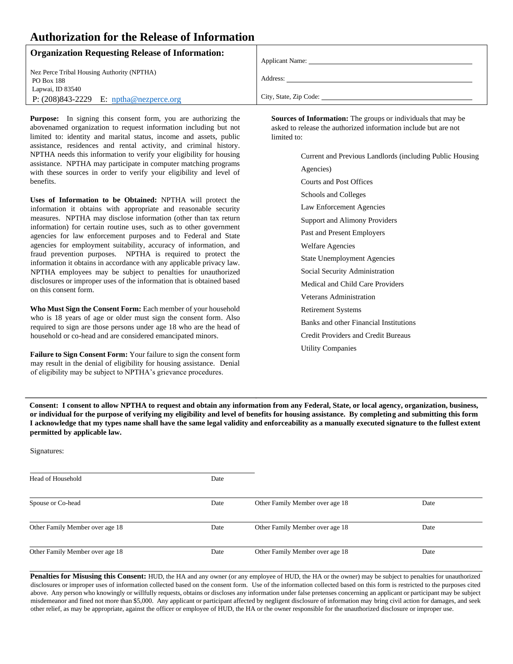### **Authorization for the Release of Information**

| <b>Organization Requesting Release of Information:</b> |                        |
|--------------------------------------------------------|------------------------|
|                                                        | <b>Applicant Name:</b> |
| Nez Perce Tribal Housing Authority (NPTHA)             |                        |
| <b>PO Box 188</b>                                      | Address:               |
| Lapwai, ID 83540                                       |                        |
| P: $(208)843-2229$ E: $nptha@nezperce.org$             | City, State, Zip Code: |
|                                                        |                        |

**Purpose:** In signing this consent form, you are authorizing the abovenamed organization to request information including but not limited to: identity and marital status, income and assets, public assistance, residences and rental activity, and criminal history. NPTHA needs this information to verify your eligibility for housing assistance. NPTHA may participate in computer matching programs with these sources in order to verify your eligibility and level of benefits.

**Uses of Information to be Obtained:** NPTHA will protect the information it obtains with appropriate and reasonable security measures. NPTHA may disclose information (other than tax return information) for certain routine uses, such as to other government agencies for law enforcement purposes and to Federal and State agencies for employment suitability, accuracy of information, and fraud prevention purposes. NPTHA is required to protect the information it obtains in accordance with any applicable privacy law. NPTHA employees may be subject to penalties for unauthorized disclosures or improper uses of the information that is obtained based on this consent form.

**Who Must Sign the Consent Form:** Each member of your household who is 18 years of age or older must sign the consent form. Also required to sign are those persons under age 18 who are the head of household or co-head and are considered emancipated minors.

**Failure to Sign Consent Form:** Your failure to sign the consent form may result in the denial of eligibility for housing assistance. Denial of eligibility may be subject to NPTHA's grievance procedures.

**Sources of Information:** The groups or individuals that may be asked to release the authorized information include but are not limited to:

> Current and Previous Landlords (including Public Housing Agencies) Courts and Post Offices Schools and Colleges Law Enforcement Agencies Support and Alimony Providers Past and Present Employers Welfare Agencies State Unemployment Agencies Social Security Administration Medical and Child Care Providers Veterans Administration Retirement Systems Banks and other Financial Institutions Credit Providers and Credit Bureaus Utility Companies

**Consent: I consent to allow NPTHA to request and obtain any information from any Federal, State, or local agency, organization, business, or individual for the purpose of verifying my eligibility and level of benefits for housing assistance. By completing and submitting this form I acknowledge that my types name shall have the same legal validity and enforceability as a manually executed signature to the fullest extent permitted by applicable law.** 

Signatures:

| Head of Household               | Date |                                 |      |
|---------------------------------|------|---------------------------------|------|
| Spouse or Co-head               | Date | Other Family Member over age 18 | Date |
| Other Family Member over age 18 | Date | Other Family Member over age 18 | Date |
| Other Family Member over age 18 | Date | Other Family Member over age 18 | Date |

Penalties for Misusing this Consent: HUD, the HA and any owner (or any employee of HUD, the HA or the owner) may be subject to penalties for unauthorized disclosures or improper uses of information collected based on the consent form. Use of the information collected based on this form is restricted to the purposes cited above. Any person who knowingly or willfully requests, obtains or discloses any information under false pretenses concerning an applicant or participant may be subject misdemeanor and fined not more than \$5,000. Any applicant or participant affected by negligent disclosure of information may bring civil action for damages, and seek other relief, as may be appropriate, against the officer or employee of HUD, the HA or the owner responsible for the unauthorized disclosure or improper use.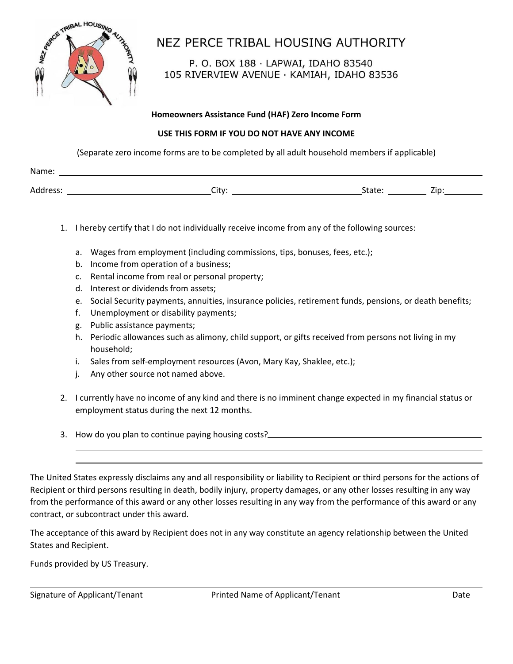

# NEZ PERCE TRIBAL HOUSING AUTHORITY

P. O. BOX 188 · LAPWAI, IDAHO 83540 105 RIVERVIEW AVENUE · KAMIAH, IDAHO 83536

#### **Homeowners Assistance Fund (HAF) Zero Income Form**

#### **USE THIS FORM IF YOU DO NOT HAVE ANY INCOME**

(Separate zero income forms are to be completed by all adult household members if applicable)

| Name.          |   |             |        |
|----------------|---|-------------|--------|
|                |   |             |        |
| Adr<br>.<br>wu | ິ | ----<br>.uu | .<br>- |

- 1. I hereby certify that I do not individually receive income from any of the following sources:
	- a. Wages from employment (including commissions, tips, bonuses, fees, etc.);
	- b. Income from operation of a business;
	- c. Rental income from real or personal property;
	- d. Interest or dividends from assets;
	- e. Social Security payments, annuities, insurance policies, retirement funds, pensions, or death benefits;
	- f. Unemployment or disability payments;
	- g. Public assistance payments;
	- h. Periodic allowances such as alimony, child support, or gifts received from persons not living in my household;
	- i. Sales from self-employment resources (Avon, Mary Kay, Shaklee, etc.);
	- j. Any other source not named above.
- 2. I currently have no income of any kind and there is no imminent change expected in my financial status or employment status during the next 12 months.
- 3. How do you plan to continue paying housing costs?

The United States expressly disclaims any and all responsibility or liability to Recipient or third persons for the actions of Recipient or third persons resulting in death, bodily injury, property damages, or any other losses resulting in any way from the performance of this award or any other losses resulting in any way from the performance of this award or any contract, or subcontract under this award.

The acceptance of this award by Recipient does not in any way constitute an agency relationship between the United States and Recipient.

Funds provided by US Treasury.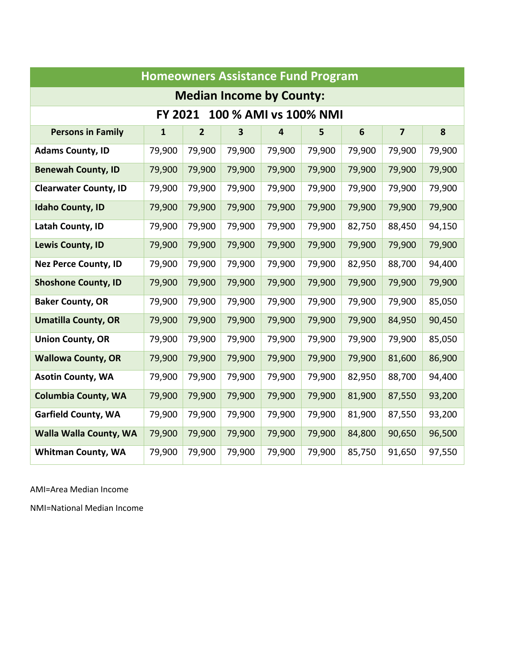|                                  | <b>Homeowners Assistance Fund Program</b> |                |                                 |                         |        |                |                         |        |  |  |  |
|----------------------------------|-------------------------------------------|----------------|---------------------------------|-------------------------|--------|----------------|-------------------------|--------|--|--|--|
|                                  |                                           |                | <b>Median Income by County:</b> |                         |        |                |                         |        |  |  |  |
| FY 2021<br>100 % AMI vs 100% NMI |                                           |                |                                 |                         |        |                |                         |        |  |  |  |
| <b>Persons in Family</b>         | $\mathbf{1}$                              | $\overline{2}$ | 3                               | $\overline{\mathbf{4}}$ | 5      | $6\phantom{1}$ | $\overline{\mathbf{z}}$ | 8      |  |  |  |
| <b>Adams County, ID</b>          | 79,900                                    | 79,900         | 79,900                          | 79,900                  | 79,900 | 79,900         | 79,900                  | 79,900 |  |  |  |
| <b>Benewah County, ID</b>        | 79,900                                    | 79,900         | 79,900                          | 79,900                  | 79,900 | 79,900         | 79,900                  | 79,900 |  |  |  |
| <b>Clearwater County, ID</b>     | 79,900                                    | 79,900         | 79,900                          | 79,900                  | 79,900 | 79,900         | 79,900                  | 79,900 |  |  |  |
| <b>Idaho County, ID</b>          | 79,900                                    | 79,900         | 79,900                          | 79,900                  | 79,900 | 79,900         | 79,900                  | 79,900 |  |  |  |
| Latah County, ID                 | 79,900                                    | 79,900         | 79,900                          | 79,900                  | 79,900 | 82,750         | 88,450                  | 94,150 |  |  |  |
| Lewis County, ID                 | 79,900                                    | 79,900         | 79,900                          | 79,900                  | 79,900 | 79,900         | 79,900                  | 79,900 |  |  |  |
| <b>Nez Perce County, ID</b>      | 79,900                                    | 79,900         | 79,900                          | 79,900                  | 79,900 | 82,950         | 88,700                  | 94,400 |  |  |  |
| <b>Shoshone County, ID</b>       | 79,900                                    | 79,900         | 79,900                          | 79,900                  | 79,900 | 79,900         | 79,900                  | 79,900 |  |  |  |
| <b>Baker County, OR</b>          | 79,900                                    | 79,900         | 79,900                          | 79,900                  | 79,900 | 79,900         | 79,900                  | 85,050 |  |  |  |
| <b>Umatilla County, OR</b>       | 79,900                                    | 79,900         | 79,900                          | 79,900                  | 79,900 | 79,900         | 84,950                  | 90,450 |  |  |  |
| <b>Union County, OR</b>          | 79,900                                    | 79,900         | 79,900                          | 79,900                  | 79,900 | 79,900         | 79,900                  | 85,050 |  |  |  |
| <b>Wallowa County, OR</b>        | 79,900                                    | 79,900         | 79,900                          | 79,900                  | 79,900 | 79,900         | 81,600                  | 86,900 |  |  |  |
| <b>Asotin County, WA</b>         | 79,900                                    | 79,900         | 79,900                          | 79,900                  | 79,900 | 82,950         | 88,700                  | 94,400 |  |  |  |
| <b>Columbia County, WA</b>       | 79,900                                    | 79,900         | 79,900                          | 79,900                  | 79,900 | 81,900         | 87,550                  | 93,200 |  |  |  |
| <b>Garfield County, WA</b>       | 79,900                                    | 79,900         | 79,900                          | 79,900                  | 79,900 | 81,900         | 87,550                  | 93,200 |  |  |  |
| <b>Walla Walla County, WA</b>    | 79,900                                    | 79,900         | 79,900                          | 79,900                  | 79,900 | 84,800         | 90,650                  | 96,500 |  |  |  |
| <b>Whitman County, WA</b>        | 79,900                                    | 79,900         | 79,900                          | 79,900                  | 79,900 | 85,750         | 91,650                  | 97,550 |  |  |  |

AMI=Area Median Income

NMI=National Median Income